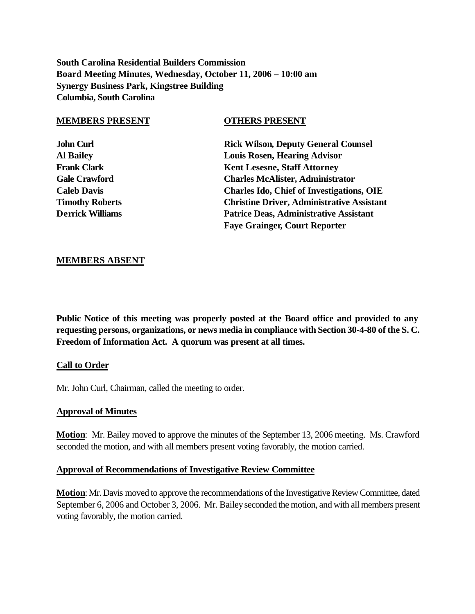**South Carolina Residential Builders Commission Board Meeting Minutes, Wednesday, October 11, 2006 – 10:00 am Synergy Business Park, Kingstree Building Columbia, South Carolina**

#### **MEMBERS PRESENT OTHERS PRESENT**

**John Curl Rick Wilson, Deputy General Counsel Al Bailey Louis Rosen, Hearing Advisor Frank Clark Kent Lesesne, Staff Attorney Gale Crawford Charles McAlister, Administrator Caleb Davis Charles Ido, Chief of Investigations, OIE Timothy Roberts Christine Driver, Administrative Assistant Derrick Williams Patrice Deas, Administrative Assistant Faye Grainger, Court Reporter**

## **MEMBERS ABSENT**

**Public Notice of this meeting was properly posted at the Board office and provided to any requesting persons, organizations, or news media in compliance with Section 30-4-80 of the S. C. Freedom of Information Act. A quorum was present at all times.**

#### **Call to Order**

Mr. John Curl, Chairman, called the meeting to order.

#### **Approval of Minutes**

**Motion**: Mr. Bailey moved to approve the minutes of the September 13, 2006 meeting. Ms. Crawford seconded the motion, and with all members present voting favorably, the motion carried.

#### **Approval of Recommendations of Investigative Review Committee**

**Motion**: Mr. Davis moved to approve the recommendations of the Investigative Review Committee, dated September 6, 2006 and October 3, 2006. Mr. Bailey seconded the motion, and with all members present voting favorably, the motion carried.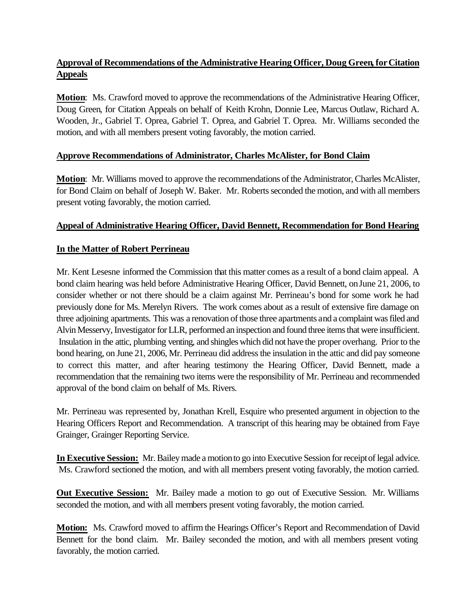# **Approval of Recommendations of the Administrative Hearing Officer, Doug Green, for Citation Appeals**

**Motion**: Ms. Crawford moved to approve the recommendations of the Administrative Hearing Officer, Doug Green, for Citation Appeals on behalf of Keith Krohn, Donnie Lee, Marcus Outlaw, Richard A. Wooden, Jr., Gabriel T. Oprea, Gabriel T. Oprea, and Gabriel T. Oprea. Mr. Williams seconded the motion, and with all members present voting favorably, the motion carried.

# **Approve Recommendations of Administrator, Charles McAlister, for Bond Claim**

**Motion**: Mr. Williams moved to approve the recommendations of the Administrator, Charles McAlister, for Bond Claim on behalf of Joseph W. Baker. Mr. Roberts seconded the motion, and with all members present voting favorably, the motion carried.

# **Appeal of Administrative Hearing Officer, David Bennett, Recommendation for Bond Hearing**

# **In the Matter of Robert Perrineau**

Mr. Kent Lesesne informed the Commission that this matter comes as a result of a bond claim appeal. A bond claim hearing was held before Administrative Hearing Officer, David Bennett, on June 21, 2006, to consider whether or not there should be a claim against Mr. Perrineau's bond for some work he had previously done for Ms. Merelyn Rivers. The work comes about as a result of extensive fire damage on three adjoining apartments. This was a renovation of those three apartments and a complaint was filed and Alvin Messervy, Investigator for LLR, performed an inspection and found three items that were insufficient. Insulation in the attic, plumbing venting, and shingles which did not have the proper overhang. Prior to the bond hearing, on June 21, 2006, Mr. Perrineau did address the insulation in the attic and did pay someone to correct this matter, and after hearing testimony the Hearing Officer, David Bennett, made a recommendation that the remaining two items were the responsibility of Mr. Perrineau and recommended approval of the bond claim on behalf of Ms. Rivers.

Mr. Perrineau was represented by, Jonathan Krell, Esquire who presented argument in objection to the Hearing Officers Report and Recommendation. A transcript of this hearing may be obtained from Faye Grainger, Grainger Reporting Service.

**In Executive Session:** Mr. Bailey made a motion to go into Executive Session for receipt of legal advice. Ms. Crawford sectioned the motion, and with all members present voting favorably, the motion carried.

**Out Executive Session:** Mr. Bailey made a motion to go out of Executive Session. Mr. Williams seconded the motion, and with all members present voting favorably, the motion carried.

**Motion:** Ms. Crawford moved to affirm the Hearings Officer's Report and Recommendation of David Bennett for the bond claim. Mr. Bailey seconded the motion, and with all members present voting favorably, the motion carried.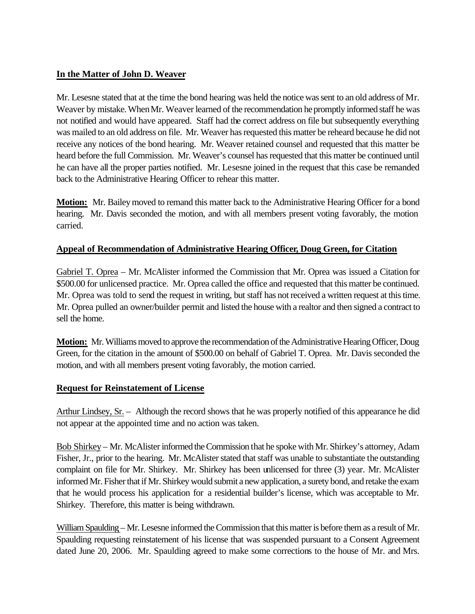# **In the Matter of John D. Weaver**

Mr. Lesesne stated that at the time the bond hearing was held the notice was sent to an old address of Mr. Weaver by mistake. WhenMr. Weaver learned of the recommendation he promptly informed staff he was not notified and would have appeared. Staff had the correct address on file but subsequently everything was mailed to an old address on file. Mr. Weaver has requested this matter be reheard because he did not receive any notices of the bond hearing. Mr. Weaver retained counsel and requested that this matter be heard before the full Commission. Mr. Weaver's counsel has requested that this matter be continued until he can have all the proper parties notified. Mr. Lesesne joined in the request that this case be remanded back to the Administrative Hearing Officer to rehear this matter.

**Motion:** Mr. Bailey moved to remand this matter back to the Administrative Hearing Officer for a bond hearing. Mr. Davis seconded the motion, and with all members present voting favorably, the motion carried.

# **Appeal of Recommendation of Administrative Hearing Officer, Doug Green, for Citation**

Gabriel T. Oprea – Mr. McAlister informed the Commission that Mr. Oprea was issued a Citation for \$500.00 for unlicensed practice. Mr. Oprea called the office and requested that this matter be continued. Mr. Oprea was told to send the request in writing, but staff has not received a written request at this time. Mr. Oprea pulled an owner/builder permit and listed the house with a realtor and then signed a contract to sell the home.

**Motion:** Mr. Williams moved to approve the recommendation of the Administrative Hearing Officer, Doug Green, for the citation in the amount of \$500.00 on behalf of Gabriel T. Oprea. Mr. Davis seconded the motion, and with all members present voting favorably, the motion carried.

# **Request for Reinstatement of License**

Arthur Lindsey, Sr. – Although the record shows that he was properly notified of this appearance he did not appear at the appointed time and no action was taken.

Bob Shirkey – Mr. McAlister informed the Commission that he spoke with Mr. Shirkey's attorney, Adam Fisher, Jr., prior to the hearing. Mr. McAlister stated that staff was unable to substantiate the outstanding complaint on file for Mr. Shirkey. Mr. Shirkey has been unlicensed for three (3) year. Mr. McAlister informed Mr. Fisher that if Mr. Shirkey would submit a new application, a surety bond, and retake the exam that he would process his application for a residential builder's license, which was acceptable to Mr. Shirkey. Therefore, this matter is being withdrawn.

William Spaulding – Mr. Lesesne informed the Commission that this matter is before them as a result of Mr. Spaulding requesting reinstatement of his license that was suspended pursuant to a Consent Agreement dated June 20, 2006. Mr. Spaulding agreed to make some corrections to the house of Mr. and Mrs.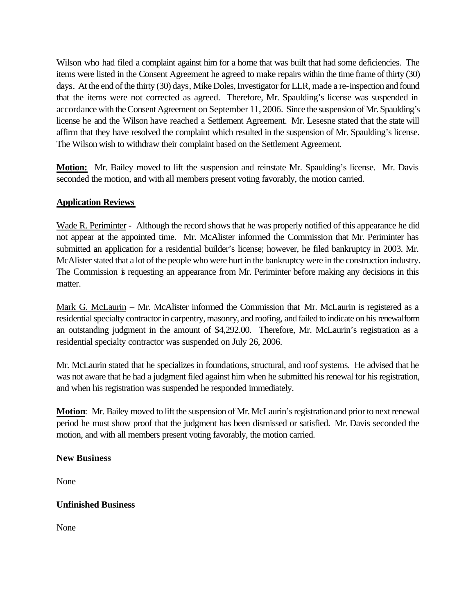Wilson who had filed a complaint against him for a home that was built that had some deficiencies. The items were listed in the Consent Agreement he agreed to make repairs within the time frame of thirty (30) days. At the end of the thirty (30) days, Mike Doles, Investigator for LLR, made a re-inspection and found that the items were not corrected as agreed. Therefore, Mr. Spaulding's license was suspended in accordance with the Consent Agreement on September 11, 2006. Since the suspension of Mr. Spaulding's license he and the Wilson have reached a Settlement Agreement. Mr. Lesesne stated that the state will affirm that they have resolved the complaint which resulted in the suspension of Mr. Spaulding's license. The Wilson wish to withdraw their complaint based on the Settlement Agreement.

**Motion:** Mr. Bailey moved to lift the suspension and reinstate Mr. Spaulding's license. Mr. Davis seconded the motion, and with all members present voting favorably, the motion carried.

# **Application Reviews**

Wade R. Periminter - Although the record shows that he was properly notified of this appearance he did not appear at the appointed time. Mr. McAlister informed the Commission that Mr. Periminter has submitted an application for a residential builder's license; however, he filed bankruptcy in 2003. Mr. McAlister stated that a lot of the people who were hurt in the bankruptcy were in the construction industry. The Commission is requesting an appearance from Mr. Periminter before making any decisions in this matter.

Mark G. McLaurin – Mr. McAlister informed the Commission that Mr. McLaurin is registered as a residential specialty contractor in carpentry, masonry, and roofing, and failed to indicate on his renewal form an outstanding judgment in the amount of \$4,292.00. Therefore, Mr. McLaurin's registration as a residential specialty contractor was suspended on July 26, 2006.

Mr. McLaurin stated that he specializes in foundations, structural, and roof systems. He advised that he was not aware that he had a judgment filed against him when he submitted his renewal for his registration, and when his registration was suspended he responded immediately.

**Motion**: Mr. Bailey moved to lift the suspension of Mr. McLaurin's registration and prior to next renewal period he must show proof that the judgment has been dismissed or satisfied. Mr. Davis seconded the motion, and with all members present voting favorably, the motion carried.

# **New Business**

None

# **Unfinished Business**

None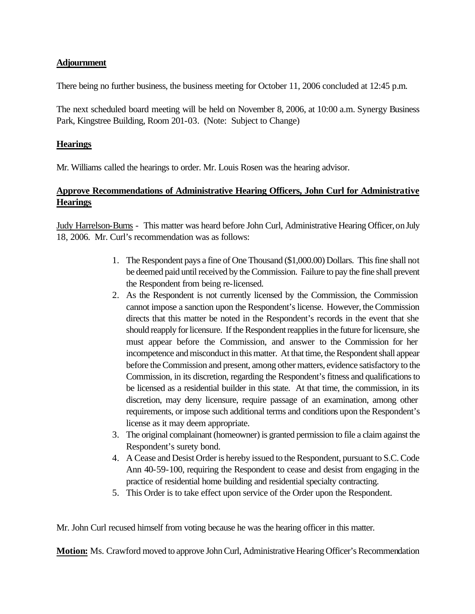## **Adjournment**

There being no further business, the business meeting for October 11, 2006 concluded at 12:45 p.m.

The next scheduled board meeting will be held on November 8, 2006, at 10:00 a.m. Synergy Business Park, Kingstree Building, Room 201-03. (Note: Subject to Change)

#### **Hearings**

Mr. Williams called the hearings to order. Mr. Louis Rosen was the hearing advisor.

# **Approve Recommendations of Administrative Hearing Officers, John Curl for Administrative Hearings**

Judy Harrelson-Burns - This matter was heard before John Curl, Administrative Hearing Officer, on July 18, 2006. Mr. Curl's recommendation was as follows:

- 1. The Respondent pays a fine of One Thousand (\$1,000.00) Dollars. This fine shall not be deemed paid until received by the Commission. Failure to pay the fine shall prevent the Respondent from being re-licensed.
- 2. As the Respondent is not currently licensed by the Commission, the Commission cannot impose a sanction upon the Respondent's license. However, the Commission directs that this matter be noted in the Respondent's records in the event that she should reapply for licensure. If the Respondent reapplies in the future for licensure, she must appear before the Commission, and answer to the Commission for her incompetence and misconduct in this matter. At that time, the Respondent shall appear before the Commission and present, among other matters, evidence satisfactory to the Commission, in its discretion, regarding the Respondent's fitness and qualifications to be licensed as a residential builder in this state. At that time, the commission, in its discretion, may deny licensure, require passage of an examination, among other requirements, or impose such additional terms and conditions upon the Respondent's license as it may deem appropriate.
- 3. The original complainant (homeowner) is granted permission to file a claim against the Respondent's surety bond.
- 4. A Cease and Desist Order is hereby issued to the Respondent, pursuant to S.C. Code Ann 40-59-100, requiring the Respondent to cease and desist from engaging in the practice of residential home building and residential specialty contracting.
- 5. This Order is to take effect upon service of the Order upon the Respondent.

Mr. John Curl recused himself from voting because he was the hearing officer in this matter.

**Motion:** Ms. Crawford moved to approve John Curl, Administrative Hearing Officer's Recommendation